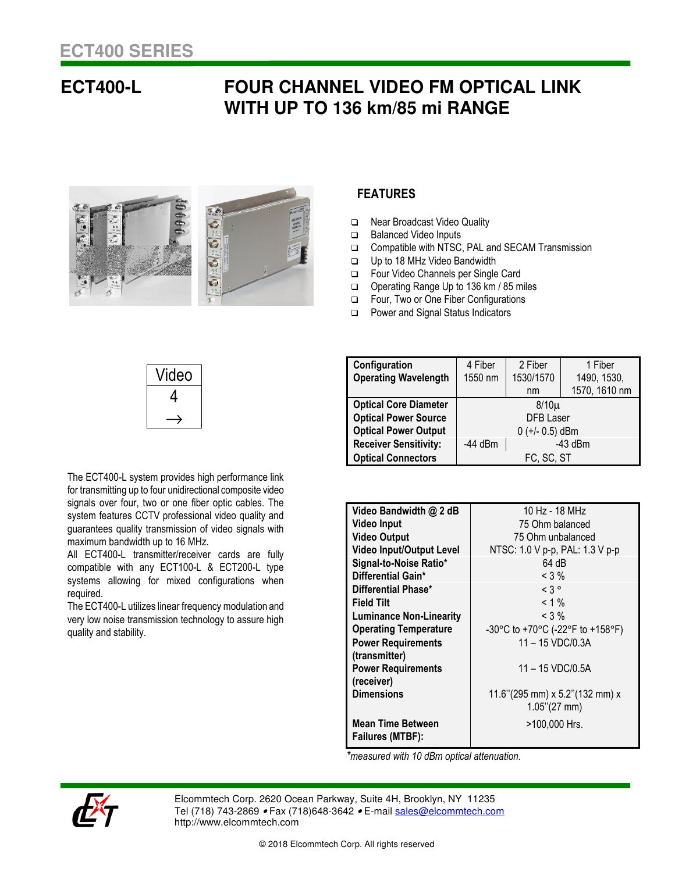## **ECT400-L FOUR CHANNEL VIDEO FM OPTICAL LINK WITH UP TO 136 km/85 mi RANGE**



## **FEATURES**

- □ Near Broadcast Video Quality
- □ Balanced Video Inputs
- Compatible with NTSC, PAL and SECAM Transmission
- Up to 18 MHz Video Bandwidth
- Four Video Channels per Single Card
- Operating Range Up to 136 km / 85 miles
- Four, Two or One Fiber Configurations
- □ Power and Signal Status Indicators

| Video |
|-------|
|       |
|       |

The ECT400-L system provides high performance link for transmitting up to four unidirectional composite video signals over four, two or one fiber optic cables. The system features CCTV professional video quality and guarantees quality transmission of video signals with

systems allowing for mixed configurations when

The ECT400-L utilizes linear frequency modulation and very low noise transmission technology to assure high

All ECT400-L transmitter/receiver cards are fully compatible with any ECT100-L & ECT200-L type

maximum bandwidth up to 16 MHz.

| Configuration                | 4 Fiber                | 2 Fiber   | 1 Fiber       |
|------------------------------|------------------------|-----------|---------------|
| <b>Operating Wavelength</b>  | 1550 nm                | 1530/1570 | 1490, 1530,   |
|                              |                        | nm        | 1570, 1610 nm |
| <b>Optical Core Diameter</b> | $8/10\mu$              |           |               |
| <b>Optical Power Source</b>  | <b>DFB Laser</b>       |           |               |
| <b>Optical Power Output</b>  | $0 (+/- 0.5)$ dBm      |           |               |
| <b>Receiver Sensitivity:</b> | $-43$ dBm<br>$-44$ dBm |           |               |
| <b>Optical Connectors</b>    | FC, SC, ST             |           |               |

| Video Bandwidth @ 2 dB          | 10 Hz - 18 MHz                       |  |  |
|---------------------------------|--------------------------------------|--|--|
| <b>Video Input</b>              | 75 Ohm balanced                      |  |  |
| <b>Video Output</b>             | 75 Ohm unbalanced                    |  |  |
| <b>Video Input/Output Level</b> | NTSC: 1.0 V p-p, PAL: 1.3 V p-p      |  |  |
| Signal-to-Noise Ratio*          | 64 dB                                |  |  |
| Differential Gain*              | $<$ 3 %                              |  |  |
| Differential Phase*             | $< 3^{\circ}$                        |  |  |
| <b>Field Tilt</b>               | $< 1 \%$                             |  |  |
| <b>Luminance Non-Linearity</b>  | $<$ 3 %                              |  |  |
| <b>Operating Temperature</b>    | -30°C to +70°C (-22°F to +158°F)     |  |  |
| <b>Power Requirements</b>       | $11 - 15 \text{ VDC} / 0.3 \text{A}$ |  |  |
| (transmitter)                   |                                      |  |  |
| <b>Power Requirements</b>       | 11 - 15 VDC/0.5A                     |  |  |
| (receiver)                      |                                      |  |  |
| <b>Dimensions</b>               | 11.6"(295 mm) x 5.2"(132 mm) x       |  |  |
|                                 | $1.05$ "(27 mm)                      |  |  |
| <b>Mean Time Between</b>        | >100,000 Hrs.                        |  |  |
| Failures (MTBF):                |                                      |  |  |

 *\*measured with 10 dBm optical attenuation.* 



required.

quality and stability.

Elcommtech Corp. 2620 Ocean Parkway, Suite 4H, Brooklyn, NY 11235 Tel (718) 743-2869 • Fax (718) 648-3642 • E-mail sales@elcommtech.com http://www.elcommtech.com